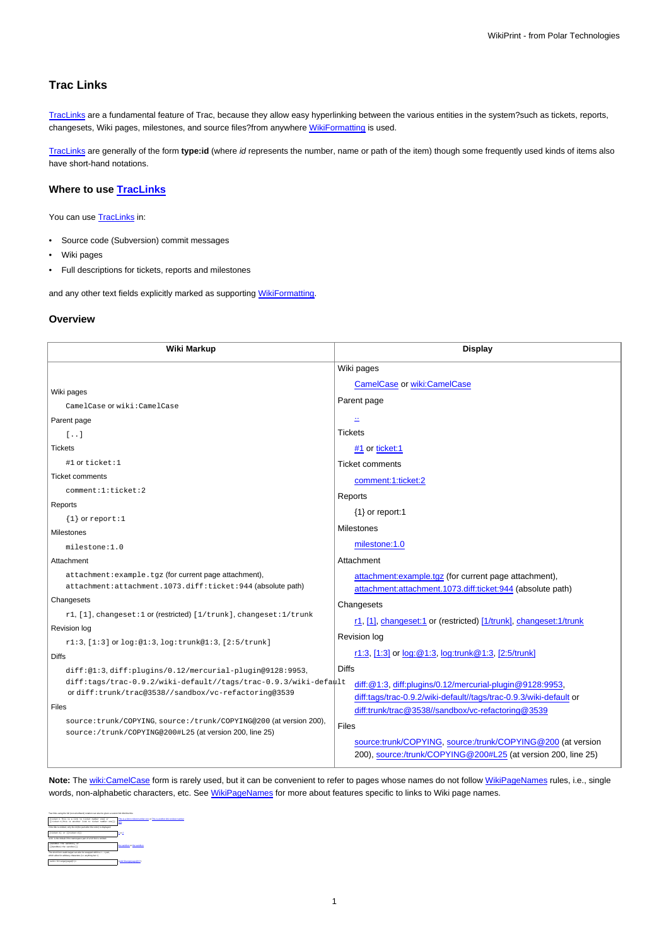# **Trac Links**

[TracLinks](https://meteo.unican.es/trac/wiki/TracLinks) are a fundamental feature of Trac, because they allow easy hyperlinking between the various entities in the system?such as tickets, reports, changesets, Wiki pages, milestones, and source files?from anywhere [WikiFormatting](https://meteo.unican.es/trac/wiki/WikiFormatting) is used.

[TracLinks](https://meteo.unican.es/trac/wiki/TracLinks) are generally of the form **type:id** (where id represents the number, name or path of the item) though some frequently used kinds of items also have short-hand notations.

# **Where to use [TracLinks](https://meteo.unican.es/trac/wiki/TracLinks)**

You can use [TracLinks](https://meteo.unican.es/trac/wiki/TracLinks) in:

- Source code (Subversion) commit messages
- Wiki pages
- Full descriptions for tickets, reports and milestones

and any other text fields explicitly marked as supporting [WikiFormatting.](https://meteo.unican.es/trac/wiki/WikiFormatting)

# **Overview**

| Wiki Markup                                                                                                                                                                                                                                                                                                                  | <b>Display</b>                                                                                                                                                                                                                                                                                                                                        |
|------------------------------------------------------------------------------------------------------------------------------------------------------------------------------------------------------------------------------------------------------------------------------------------------------------------------------|-------------------------------------------------------------------------------------------------------------------------------------------------------------------------------------------------------------------------------------------------------------------------------------------------------------------------------------------------------|
|                                                                                                                                                                                                                                                                                                                              | Wiki pages                                                                                                                                                                                                                                                                                                                                            |
| Wiki pages                                                                                                                                                                                                                                                                                                                   | <b>CamelCase or wiki:CamelCase</b>                                                                                                                                                                                                                                                                                                                    |
| CamelCase Of wiki: CamelCase                                                                                                                                                                                                                                                                                                 | Parent page                                                                                                                                                                                                                                                                                                                                           |
| Parent page                                                                                                                                                                                                                                                                                                                  |                                                                                                                                                                                                                                                                                                                                                       |
| $\lceil$                                                                                                                                                                                                                                                                                                                     | <b>Tickets</b>                                                                                                                                                                                                                                                                                                                                        |
| <b>Tickets</b>                                                                                                                                                                                                                                                                                                               | #1 or ticket:1                                                                                                                                                                                                                                                                                                                                        |
| #1 or ticket:1                                                                                                                                                                                                                                                                                                               | <b>Ticket comments</b>                                                                                                                                                                                                                                                                                                                                |
| <b>Ticket comments</b>                                                                                                                                                                                                                                                                                                       | comment:1:ticket:2                                                                                                                                                                                                                                                                                                                                    |
| comment:1:ticket:2                                                                                                                                                                                                                                                                                                           | Reports                                                                                                                                                                                                                                                                                                                                               |
| Reports                                                                                                                                                                                                                                                                                                                      | {1} or report:1                                                                                                                                                                                                                                                                                                                                       |
| $\{1\}$ or report: 1<br>Milestones                                                                                                                                                                                                                                                                                           | Milestones                                                                                                                                                                                                                                                                                                                                            |
| milestone:1.0                                                                                                                                                                                                                                                                                                                | milestone:1.0                                                                                                                                                                                                                                                                                                                                         |
| Attachment                                                                                                                                                                                                                                                                                                                   | Attachment                                                                                                                                                                                                                                                                                                                                            |
| attachment: example.tgz (for current page attachment),<br>attachment: attachment. 1073.diff: ticket: 944 (absolute path)                                                                                                                                                                                                     | attachment: example.tgz (for current page attachment),<br>attachment: attachment. 1073.diff: ticket: 944 (absolute path)                                                                                                                                                                                                                              |
| Changesets                                                                                                                                                                                                                                                                                                                   | Changesets                                                                                                                                                                                                                                                                                                                                            |
| r1, [1], changeset: 1 or (restricted) [1/trunk], changeset: 1/trunk                                                                                                                                                                                                                                                          | r1, [1], changeset:1 or (restricted) [1/trunk], changeset:1/trunk                                                                                                                                                                                                                                                                                     |
| Revision log<br>r1:3, [1:3] or log:@1:3, log:trunk@1:3, [2:5/trunk]                                                                                                                                                                                                                                                          | Revision log                                                                                                                                                                                                                                                                                                                                          |
| <b>Diffs</b>                                                                                                                                                                                                                                                                                                                 | r1:3, [1:3] or log: @1:3, log:trunk @1:3, [2:5/trunk]                                                                                                                                                                                                                                                                                                 |
| diff:@1:3,diff:plugins/0.12/mercurial-plugin@9128:9953,<br>diff:tags/trac-0.9.2/wiki-default//tags/trac-0.9.3/wiki-default<br>ordiff:trunk/trac@3538//sandbox/vc-refactoring@3539<br>Files<br>source: trunk/COPYING, source: /trunk/COPYING@200 (at version 200),<br>source:/trunk/COPYING@200#L25 (at version 200, line 25) | <b>Diffs</b><br>diff: @1:3, diff:plugins/0.12/mercurial-plugin @9128:9953,<br>diff:tags/trac-0.9.2/wiki-default//tags/trac-0.9.3/wiki-default or<br>diff:trunk/trac@3538//sandbox/vc-refactoring@3539<br><b>Files</b><br>source:trunk/COPYING, source:/trunk/COPYING@200 (at version<br>200), source:/trunk/COPYING@200#L25 (at version 200, line 25) |

Note: The [wiki:CamelCase](https://meteo.unican.es/trac/wiki/CamelCase) form is rarely used, but it can be convenient to refer to pages whose names do not follow [WikiPageNames](https://meteo.unican.es/trac/wiki/WikiPageNames) rules, i.e., single words, non-alphabetic characters, etc. See [WikiPageNames](https://meteo.unican.es/trac/wiki/WikiPageNames) for more about features specific to links to Wiki page names.

| Trac links using the full inon-shorthand) notation can also be oiven a custom link title like this:                              |                                                                              |
|----------------------------------------------------------------------------------------------------------------------------------|------------------------------------------------------------------------------|
| (tichet)) This is a link to ticket moder cas! or<br>[(ticket:1]This is another lisk to ticket number coe]). One                  | This is a link to ticket number one or This is another link to ticket number |
| If the title is omitted, only the id (the part after the calon) is displayed:                                                    |                                                                              |
| (ticket:1) or ((ticket:2))                                                                                                       | 1 or 2                                                                       |
| win: is the default if the namespace part of a full link is omitted:                                                             |                                                                              |
| [Zandhea the annibox] or<br>[[Zendhea]the eaudion]]                                                                              | the sandbox or the sandbox                                                   |
| The short form realm terper can also be wrapped within a < > pair.<br>which allow for arbitrary characters (i.e. anything but >) |                                                                              |
| Valid LELeanor (page) 112                                                                                                        | calcidennos/page@fr/>                                                        |
|                                                                                                                                  |                                                                              |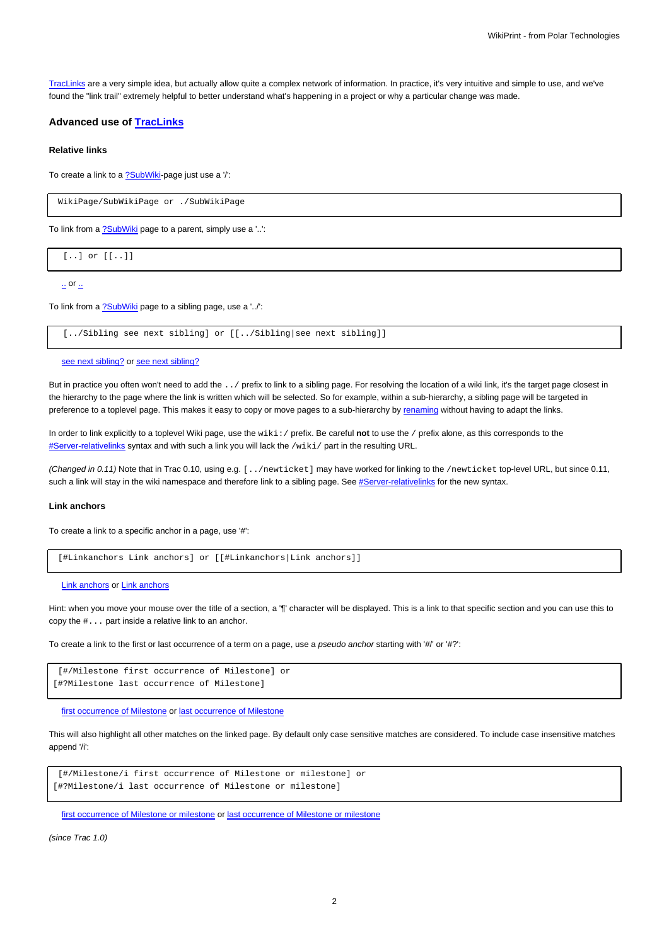[TracLinks](https://meteo.unican.es/trac/wiki/TracLinks) are a very simple idea, but actually allow quite a complex network of information. In practice, it's very intuitive and simple to use, and we've found the "link trail" extremely helpful to better understand what's happening in a project or why a particular change was made.

# **Advanced use of [TracLinks](https://meteo.unican.es/trac/wiki/TracLinks)**

### **Relative links**

To create a link to a **?SubWiki-page just use a //**:

WikiPage/SubWikiPage or ./SubWikiPage

To link from a [?SubWiki](http://trac.edgewall.org/intertrac/SubWiki) page to a parent, simply use a '..':

[..] or [[..]]

 $\mathbf{r}$  or  $\mathbf{r}$ 

To link from a [?SubWiki](http://trac.edgewall.org/intertrac/SubWiki) page to a sibling page, use a '../':

[../Sibling see next sibling] or [[../Sibling|see next sibling]]

```
see next sibling? or see next sibling?
```
But in practice you often won't need to add the . . / prefix to link to a sibling page. For resolving the location of a wiki link, it's the target page closest in the hierarchy to the page where the link is written which will be selected. So for example, within a sub-hierarchy, a sibling page will be targeted in preference to a toplevel page. This makes it easy to copy or move pages to a sub-hierarchy by [renaming](https://meteo.unican.es/trac/wiki/WikiNewPage#renaming) without having to adapt the links.

In order to link explicitly to a toplevel Wiki page, use the wiki:/ prefix. Be careful **not** to use the / prefix alone, as this corresponds to the [#Server-relativelinks](https://meteo.unican.es/trac/wiki/TracLinks#Server-relativelinks) syntax and with such a link you will lack the /wiki/ part in the resulting URL.

(Changed in 0.11) Note that in Trac 0.10, using e.g. [../newticket] may have worked for linking to the /newticket top-level URL, but since 0.11, such a link will stay in the wiki namespace and therefore link to a sibling page. See [#Server-relativelinks](https://meteo.unican.es/trac/wiki/TracLinks#Server-relativelinks) for the new syntax.

### **Link anchors**

To create a link to a specific anchor in a page, use '#':

[#Linkanchors Link anchors] or [[#Linkanchors|Link anchors]]

[Link anchors](https://meteo.unican.es/trac/wiki/TracLinks#Linkanchors) or [Link anchors](https://meteo.unican.es/trac/wiki/TracLinks#Linkanchors)

Hint: when you move your mouse over the title of a section, a '¶' character will be displayed. This is a link to that specific section and you can use this to copy the #... part inside a relative link to an anchor.

To create a link to the first or last occurrence of a term on a page, use a pseudo anchor starting with '#/' or '#?':

```
[#/Milestone first occurrence of Milestone] or
[#?Milestone last occurrence of Milestone]
```
[first occurrence of Milestone](https://meteo.unican.es/trac/wiki/TracLinks#/Milestone) or [last occurrence of Milestone](https://meteo.unican.es/trac/wiki/TracLinks#?Milestone)

This will also highlight all other matches on the linked page. By default only case sensitive matches are considered. To include case insensitive matches append '/i':

[#/Milestone/i first occurrence of Milestone or milestone] or [#?Milestone/i last occurrence of Milestone or milestone]

[first occurrence of Milestone or milestone](https://meteo.unican.es/trac/wiki/TracLinks#/Milestone/i) or [last occurrence of Milestone or milestone](https://meteo.unican.es/trac/wiki/TracLinks#?Milestone/i)

(since Trac 1.0)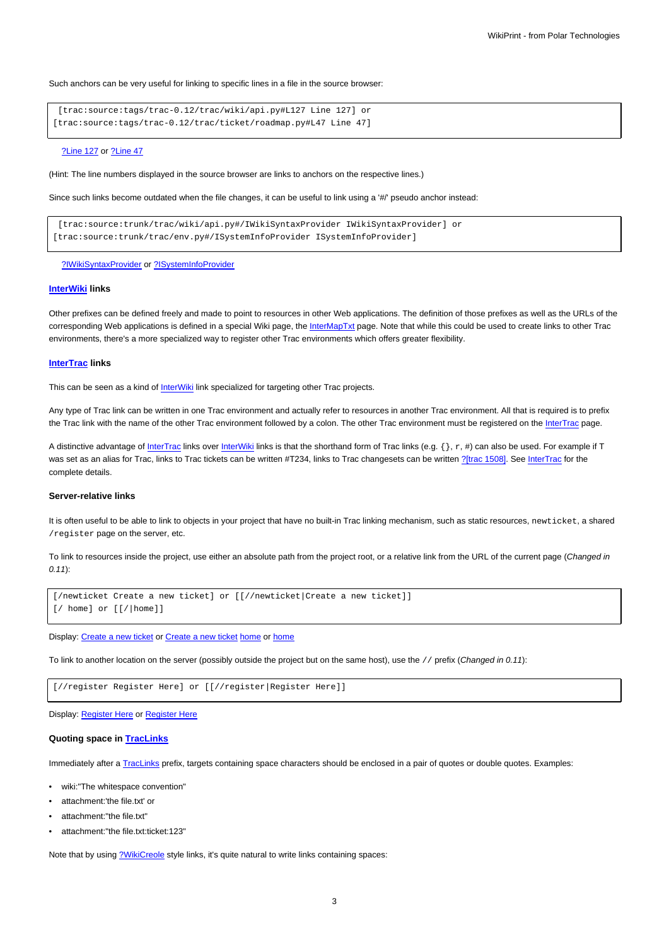Such anchors can be very useful for linking to specific lines in a file in the source browser:

[trac:source:tags/trac-0.12/trac/wiki/api.py#L127 Line 127] or [trac:source:tags/trac-0.12/trac/ticket/roadmap.py#L47 Line 47]

#### [?Line 127](http://trac.edgewall.org/intertrac/source%3Atags/trac-0.12/trac/wiki/api.py%23L127) or [?Line 47](http://trac.edgewall.org/intertrac/source%3Atags/trac-0.12/trac/ticket/roadmap.py%23L47)

(Hint: The line numbers displayed in the source browser are links to anchors on the respective lines.)

Since such links become outdated when the file changes, it can be useful to link using a '#/' pseudo anchor instead:

[trac:source:trunk/trac/wiki/api.py#/IWikiSyntaxProvider IWikiSyntaxProvider] or [trac:source:trunk/trac/env.py#/ISystemInfoProvider ISystemInfoProvider]

### [?IWikiSyntaxProvider](http://trac.edgewall.org/intertrac/source%3Atrunk/trac/wiki/api.py%23/IWikiSyntaxProvider) or [?ISystemInfoProvider](http://trac.edgewall.org/intertrac/source%3Atrunk/trac/env.py%23/ISystemInfoProvider)

# **[InterWiki](https://meteo.unican.es/trac/wiki/InterWiki) links**

Other prefixes can be defined freely and made to point to resources in other Web applications. The definition of those prefixes as well as the URLs of the corresponding Web applications is defined in a special Wiki page, the [InterMapTxt](https://meteo.unican.es/trac/wiki/InterMapTxt) page. Note that while this could be used to create links to other Trac environments, there's a more specialized way to register other Trac environments which offers greater flexibility.

# **[InterTrac](https://meteo.unican.es/trac/wiki/InterTrac) links**

This can be seen as a kind of [InterWiki](https://meteo.unican.es/trac/wiki/InterWiki) link specialized for targeting other Trac projects.

Any type of Trac link can be written in one Trac environment and actually refer to resources in another Trac environment. All that is required is to prefix the Trac link with the name of the other Trac environment followed by a colon. The other Trac environment must be registered on the [InterTrac](https://meteo.unican.es/trac/wiki/InterTrac) page.

A distinctive advantage of [InterTrac](https://meteo.unican.es/trac/wiki/InterTrac) links over [InterWiki](https://meteo.unican.es/trac/wiki/InterWiki) links is that the shorthand form of Trac links (e.g.  $\{ \}$ ,  $r$ , #) can also be used. For example if T was set as an alias for Trac, links to Trac tickets can be written #T234, links to Trac changesets can be written [?\[trac 1508\]](http://trac.edgewall.org/intertrac/changeset%3A1508). See [InterTrac](https://meteo.unican.es/trac/wiki/InterTrac) for the complete details.

#### **Server-relative links**

It is often useful to be able to link to objects in your project that have no built-in Trac linking mechanism, such as static resources, newticket, a shared /register page on the server, etc.

To link to resources inside the project, use either an absolute path from the project root, or a relative link from the URL of the current page (Changed in 0.11):

```
[/newticket Create a new ticket] or [[//newticket|Create a new ticket]]
[/ home] or [[/|home]]
```
Display: [Create a new ticket](https://meteo.unican.es/trac/newticket) or Create a new ticket [home](https://meteo.unican.es/trac/) or [home](https://meteo.unican.es/trac/)

To link to another location on the server (possibly outside the project but on the same host), use the // prefix (Changed in 0.11):

[//register Register Here] or [[//register|Register Here]]

### Display: Register Here or Register Here

# **Quoting space in [TracLinks](https://meteo.unican.es/trac/wiki/TracLinks)**

Immediately after a [TracLinks](https://meteo.unican.es/trac/wiki/TracLinks) prefix, targets containing space characters should be enclosed in a pair of quotes or double quotes. Examples:

- wiki:"The whitespace convention"
- attachment:'the file.txt' or
- attachment:"the file.txt"
- attachment:"the file.txt:ticket:123"

Note that by using [?WikiCreole](http://trac.edgewall.org/intertrac/WikiCreole) style links, it's quite natural to write links containing spaces: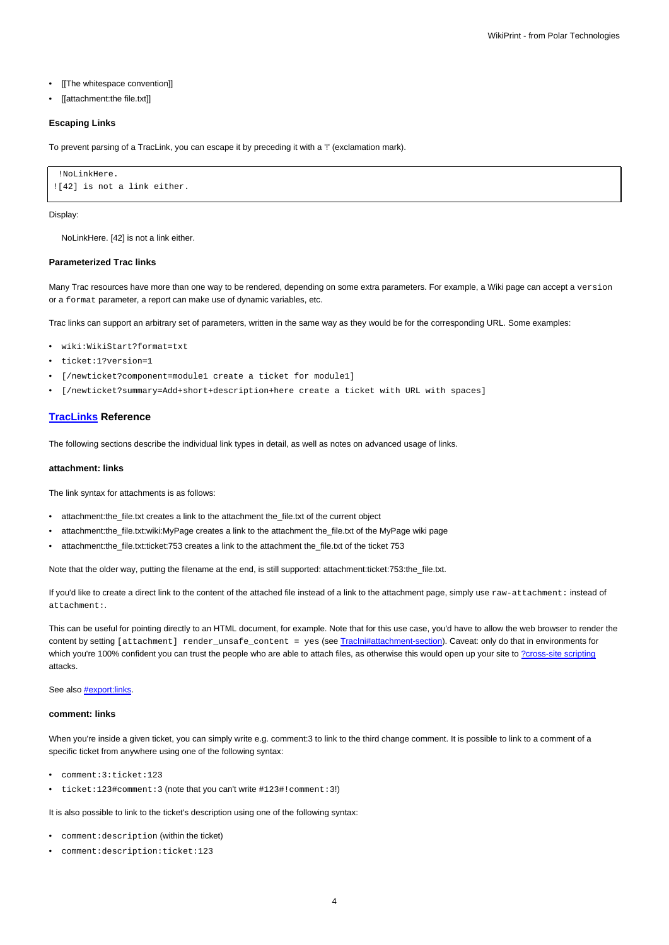- [[The whitespace convention]]
- [[attachment:the file.txt]]

### **Escaping Links**

To prevent parsing of a TracLink, you can escape it by preceding it with a '!' (exclamation mark).

```
!NoLinkHere.
![42] is not a link either.
```
### Display:

NoLinkHere. [42] is not a link either.

#### **Parameterized Trac links**

Many Trac resources have more than one way to be rendered, depending on some extra parameters. For example, a Wiki page can accept a version or a format parameter, a report can make use of dynamic variables, etc.

Trac links can support an arbitrary set of parameters, written in the same way as they would be for the corresponding URL. Some examples:

- wiki:WikiStart?format=txt
- ticket:1?version=1
- [/newticket?component=module1 create a ticket for module1]
- [/newticket?summary=Add+short+description+here create a ticket with URL with spaces]

# **[TracLinks](https://meteo.unican.es/trac/wiki/TracLinks) Reference**

The following sections describe the individual link types in detail, as well as notes on advanced usage of links.

#### **attachment: links**

The link syntax for attachments is as follows:

- attachment:the\_file.txt creates a link to the attachment the\_file.txt of the current object
- attachment:the\_file.txt:wiki:MyPage creates a link to the attachment the\_file.txt of the MyPage wiki page
- attachment:the\_file.txt:ticket:753 creates a link to the attachment the\_file.txt of the ticket 753

Note that the older way, putting the filename at the end, is still supported: attachment:ticket:753:the\_file.txt.

If you'd like to create a direct link to the content of the attached file instead of a link to the attachment page, simply use raw-attachment: instead of attachment:.

This can be useful for pointing directly to an HTML document, for example. Note that for this use case, you'd have to allow the web browser to render the content by setting [attachment] render\_unsafe\_content = yes (see [TracIni#attachment-section\)](https://meteo.unican.es/trac/wiki/TracIni#attachment-section). Caveat: only do that in environments for which you're 100% confident you can trust the people who are able to attach files, as otherwise this would open up your site to [?cross-site scripting](http://en.wikipedia.org/wiki/Cross-site_scripting) attacks.

See also **#export:links**.

#### **comment: links**

When you're inside a given ticket, you can simply write e.g. comment:3 to link to the third change comment. It is possible to link to a comment of a specific ticket from anywhere using one of the following syntax:

- comment:3:ticket:123
- ticket:123#comment:3 (note that you can't write #123#!comment:3!)

It is also possible to link to the ticket's description using one of the following syntax:

- comment:description (within the ticket)
- comment:description:ticket:123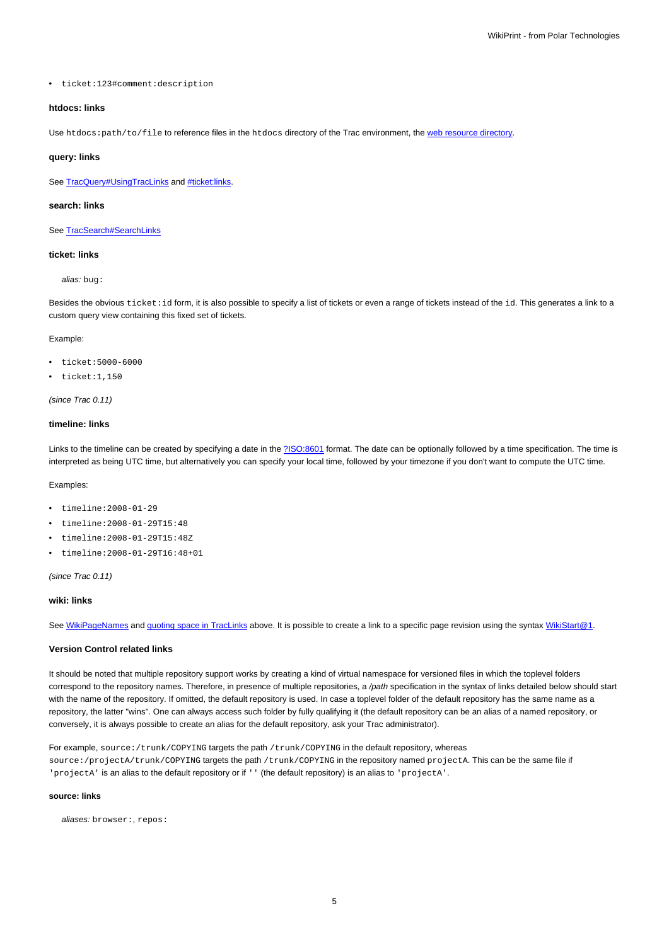• ticket:123#comment:description

# **htdocs: links**

Use htdocs: path/to/file to reference files in the htdocs directory of the Trac environment, the [web resource directory](https://meteo.unican.es/trac/wiki/TracEnvironment#DirectoryStructure).

#### **query: links**

See [TracQuery#UsingTracLinks](https://meteo.unican.es/trac/wiki/TracQuery#UsingTracLinks) and [#ticket:links.](https://meteo.unican.es/trac/wiki/TracLinks#ticket:links)

### **search: links**

See [TracSearch#SearchLinks](https://meteo.unican.es/trac/wiki/TracSearch#SearchLinks)

# **ticket: links**

alias: bug:

Besides the obvious ticket: id form, it is also possible to specify a list of tickets or even a range of tickets instead of the id. This generates a link to a custom query view containing this fixed set of tickets.

# Example:

- ticket:5000-6000
- ticket:1,150

# (since Trac 0.11)

# **timeline: links**

Links to the timeline can be created by specifying a date in the [?ISO:8601](http://en.wikipedia.org/wiki/ISO_8601) format. The date can be optionally followed by a time specification. The time is interpreted as being UTC time, but alternatively you can specify your local time, followed by your timezone if you don't want to compute the UTC time.

### Examples:

- timeline:2008-01-29
- timeline:2008-01-29T15:48
- timeline:2008-01-29T15:48Z
- timeline:2008-01-29T16:48+01

### (since Trac 0.11)

### **wiki: links**

See [WikiPageNames](https://meteo.unican.es/trac/wiki/WikiPageNames) and [quoting space in TracLinks](https://meteo.unican.es/trac/wiki/TracLinks#QuotingspaceinTracLinks) above. It is possible to create a link to a specific page revision using the syntax [WikiStart@1.](https://meteo.unican.es/trac/wiki/WikiStart?version=1)

### **Version Control related links**

It should be noted that multiple repository support works by creating a kind of virtual namespace for versioned files in which the toplevel folders correspond to the repository names. Therefore, in presence of multiple repositories, a /path specification in the syntax of links detailed below should start with the name of the repository. If omitted, the default repository is used. In case a toplevel folder of the default repository has the same name as a repository, the latter "wins". One can always access such folder by fully qualifying it (the default repository can be an alias of a named repository, or conversely, it is always possible to create an alias for the default repository, ask your Trac administrator).

For example, source:/trunk/COPYING targets the path /trunk/COPYING in the default repository, whereas source:/projectA/trunk/COPYING targets the path /trunk/COPYING in the repository named projectA. This can be the same file if 'projectA' is an alias to the default repository or if '' (the default repository) is an alias to 'projectA'.

### **source: links**

aliases: browser:, repos: